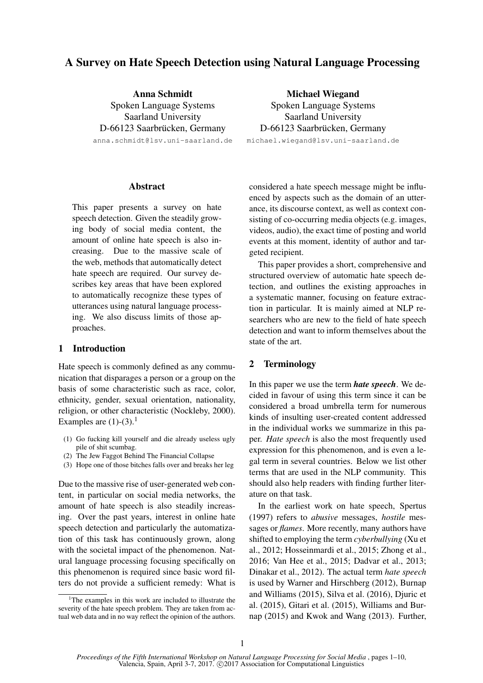# A Survey on Hate Speech Detection using Natural Language Processing

Anna Schmidt Spoken Language Systems Saarland University D-66123 Saarbrücken, Germany anna.schmidt@lsv.uni-saarland.de

Spoken Language Systems Saarland University D-66123 Saarbrücken, Germany michael.wiegand@lsv.uni-saarland.de

Michael Wiegand

## **Abstract**

This paper presents a survey on hate speech detection. Given the steadily growing body of social media content, the amount of online hate speech is also increasing. Due to the massive scale of the web, methods that automatically detect hate speech are required. Our survey describes key areas that have been explored to automatically recognize these types of utterances using natural language processing. We also discuss limits of those approaches.

#### 1 Introduction

Hate speech is commonly defined as any communication that disparages a person or a group on the basis of some characteristic such as race, color, ethnicity, gender, sexual orientation, nationality, religion, or other characteristic (Nockleby, 2000). Examples are  $(1)-(3)$ .<sup>1</sup>

- (1) Go fucking kill yourself and die already useless ugly pile of shit scumbag.
- (2) The Jew Faggot Behind The Financial Collapse
- (3) Hope one of those bitches falls over and breaks her leg

Due to the massive rise of user-generated web content, in particular on social media networks, the amount of hate speech is also steadily increasing. Over the past years, interest in online hate speech detection and particularly the automatization of this task has continuously grown, along with the societal impact of the phenomenon. Natural language processing focusing specifically on this phenomenon is required since basic word filters do not provide a sufficient remedy: What is

considered a hate speech message might be influenced by aspects such as the domain of an utterance, its discourse context, as well as context consisting of co-occurring media objects (e.g. images, videos, audio), the exact time of posting and world events at this moment, identity of author and targeted recipient.

This paper provides a short, comprehensive and structured overview of automatic hate speech detection, and outlines the existing approaches in a systematic manner, focusing on feature extraction in particular. It is mainly aimed at NLP researchers who are new to the field of hate speech detection and want to inform themselves about the state of the art.

## 2 Terminology

In this paper we use the term *hate speech*. We decided in favour of using this term since it can be considered a broad umbrella term for numerous kinds of insulting user-created content addressed in the individual works we summarize in this paper. *Hate speech* is also the most frequently used expression for this phenomenon, and is even a legal term in several countries. Below we list other terms that are used in the NLP community. This should also help readers with finding further literature on that task.

In the earliest work on hate speech, Spertus (1997) refers to *abusive* messages, *hostile* messages or *flames*. More recently, many authors have shifted to employing the term *cyberbullying* (Xu et al., 2012; Hosseinmardi et al., 2015; Zhong et al., 2016; Van Hee et al., 2015; Dadvar et al., 2013; Dinakar et al., 2012). The actual term *hate speech* is used by Warner and Hirschberg (2012), Burnap and Williams (2015), Silva et al. (2016), Djuric et al. (2015), Gitari et al. (2015), Williams and Burnap (2015) and Kwok and Wang (2013). Further,

 $1$ <sup>1</sup>The examples in this work are included to illustrate the severity of the hate speech problem. They are taken from actual web data and in no way reflect the opinion of the authors.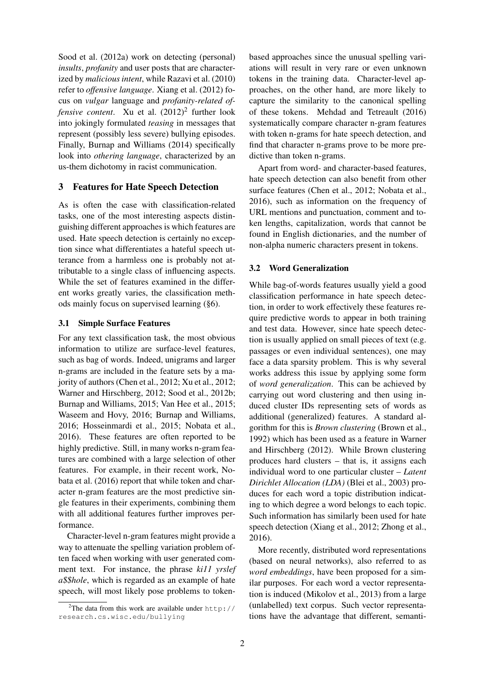Sood et al. (2012a) work on detecting (personal) *insults*, *profanity* and user posts that are characterized by *malicious intent*, while Razavi et al. (2010) refer to *offensive language*. Xiang et al. (2012) focus on *vulgar* language and *profanity-related of* $fensive content$ . Xu et al.  $(2012)^2$  further look into jokingly formulated *teasing* in messages that represent (possibly less severe) bullying episodes. Finally, Burnap and Williams (2014) specifically look into *othering language*, characterized by an us-them dichotomy in racist communication.

## 3 Features for Hate Speech Detection

As is often the case with classification-related tasks, one of the most interesting aspects distinguishing different approaches is which features are used. Hate speech detection is certainly no exception since what differentiates a hateful speech utterance from a harmless one is probably not attributable to a single class of influencing aspects. While the set of features examined in the different works greatly varies, the classification methods mainly focus on supervised learning (§6).

## 3.1 Simple Surface Features

For any text classification task, the most obvious information to utilize are surface-level features, such as bag of words. Indeed, unigrams and larger n-grams are included in the feature sets by a majority of authors (Chen et al., 2012; Xu et al., 2012; Warner and Hirschberg, 2012; Sood et al., 2012b; Burnap and Williams, 2015; Van Hee et al., 2015; Waseem and Hovy, 2016; Burnap and Williams, 2016; Hosseinmardi et al., 2015; Nobata et al., 2016). These features are often reported to be highly predictive. Still, in many works n-gram features are combined with a large selection of other features. For example, in their recent work, Nobata et al. (2016) report that while token and character n-gram features are the most predictive single features in their experiments, combining them with all additional features further improves performance.

Character-level n-gram features might provide a way to attenuate the spelling variation problem often faced when working with user generated comment text. For instance, the phrase *ki11 yrslef a\$\$hole*, which is regarded as an example of hate speech, will most likely pose problems to tokenbased approaches since the unusual spelling variations will result in very rare or even unknown tokens in the training data. Character-level approaches, on the other hand, are more likely to capture the similarity to the canonical spelling of these tokens. Mehdad and Tetreault (2016) systematically compare character n-gram features with token n-grams for hate speech detection, and find that character n-grams prove to be more predictive than token n-grams.

Apart from word- and character-based features, hate speech detection can also benefit from other surface features (Chen et al., 2012; Nobata et al., 2016), such as information on the frequency of URL mentions and punctuation, comment and token lengths, capitalization, words that cannot be found in English dictionaries, and the number of non-alpha numeric characters present in tokens.

## 3.2 Word Generalization

While bag-of-words features usually yield a good classification performance in hate speech detection, in order to work effectively these features require predictive words to appear in both training and test data. However, since hate speech detection is usually applied on small pieces of text (e.g. passages or even individual sentences), one may face a data sparsity problem. This is why several works address this issue by applying some form of *word generalization*. This can be achieved by carrying out word clustering and then using induced cluster IDs representing sets of words as additional (generalized) features. A standard algorithm for this is *Brown clustering* (Brown et al., 1992) which has been used as a feature in Warner and Hirschberg (2012). While Brown clustering produces hard clusters – that is, it assigns each individual word to one particular cluster – *Latent Dirichlet Allocation (LDA)* (Blei et al., 2003) produces for each word a topic distribution indicating to which degree a word belongs to each topic. Such information has similarly been used for hate speech detection (Xiang et al., 2012; Zhong et al., 2016).

More recently, distributed word representations (based on neural networks), also referred to as *word embeddings*, have been proposed for a similar purposes. For each word a vector representation is induced (Mikolov et al., 2013) from a large (unlabelled) text corpus. Such vector representations have the advantage that different, semanti-

<sup>&</sup>lt;sup>2</sup>The data from this work are available under  $http://$ research.cs.wisc.edu/bullying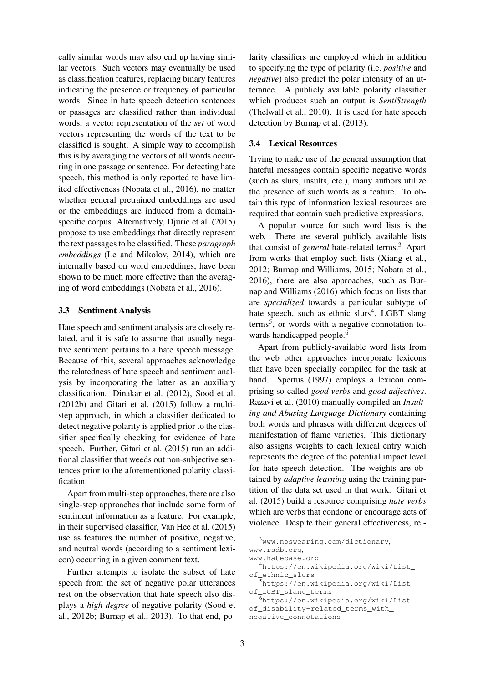cally similar words may also end up having similar vectors. Such vectors may eventually be used as classification features, replacing binary features indicating the presence or frequency of particular words. Since in hate speech detection sentences or passages are classified rather than individual words, a vector representation of the *set* of word vectors representing the words of the text to be classified is sought. A simple way to accomplish this is by averaging the vectors of all words occurring in one passage or sentence. For detecting hate speech, this method is only reported to have limited effectiveness (Nobata et al., 2016), no matter whether general pretrained embeddings are used or the embeddings are induced from a domainspecific corpus. Alternatively, Djuric et al. (2015) propose to use embeddings that directly represent the text passages to be classified. These *paragraph embeddings* (Le and Mikolov, 2014), which are internally based on word embeddings, have been shown to be much more effective than the averaging of word embeddings (Nobata et al., 2016).

## 3.3 Sentiment Analysis

Hate speech and sentiment analysis are closely related, and it is safe to assume that usually negative sentiment pertains to a hate speech message. Because of this, several approaches acknowledge the relatedness of hate speech and sentiment analysis by incorporating the latter as an auxiliary classification. Dinakar et al. (2012), Sood et al. (2012b) and Gitari et al. (2015) follow a multistep approach, in which a classifier dedicated to detect negative polarity is applied prior to the classifier specifically checking for evidence of hate speech. Further, Gitari et al. (2015) run an additional classifier that weeds out non-subjective sentences prior to the aforementioned polarity classification.

Apart from multi-step approaches, there are also single-step approaches that include some form of sentiment information as a feature. For example, in their supervised classifier, Van Hee et al. (2015) use as features the number of positive, negative, and neutral words (according to a sentiment lexicon) occurring in a given comment text.

Further attempts to isolate the subset of hate speech from the set of negative polar utterances rest on the observation that hate speech also displays a *high degree* of negative polarity (Sood et al., 2012b; Burnap et al., 2013). To that end, po-

larity classifiers are employed which in addition to specifying the type of polarity (i.e. *positive* and *negative*) also predict the polar intensity of an utterance. A publicly available polarity classifier which produces such an output is *SentiStrength* (Thelwall et al., 2010). It is used for hate speech detection by Burnap et al. (2013).

#### 3.4 Lexical Resources

Trying to make use of the general assumption that hateful messages contain specific negative words (such as slurs, insults, etc.), many authors utilize the presence of such words as a feature. To obtain this type of information lexical resources are required that contain such predictive expressions.

A popular source for such word lists is the web. There are several publicly available lists that consist of *general* hate-related terms.<sup>3</sup> Apart from works that employ such lists (Xiang et al., 2012; Burnap and Williams, 2015; Nobata et al., 2016), there are also approaches, such as Burnap and Williams (2016) which focus on lists that are *specialized* towards a particular subtype of hate speech, such as ethnic slurs<sup>4</sup>, LGBT slang terms<sup>5</sup> , or words with a negative connotation towards handicapped people.<sup>6</sup>

Apart from publicly-available word lists from the web other approaches incorporate lexicons that have been specially compiled for the task at hand. Spertus (1997) employs a lexicon comprising so-called *good verbs* and *good adjectives*. Razavi et al. (2010) manually compiled an *Insulting and Abusing Language Dictionary* containing both words and phrases with different degrees of manifestation of flame varieties. This dictionary also assigns weights to each lexical entry which represents the degree of the potential impact level for hate speech detection. The weights are obtained by *adaptive learning* using the training partition of the data set used in that work. Gitari et al. (2015) build a resource comprising *hate verbs* which are verbs that condone or encourage acts of violence. Despite their general effectiveness, rel-

<sup>3</sup>www.noswearing.com/dictionary,

www.rsdb.org, www.hatebase.org

<sup>4</sup>https://en.wikipedia.org/wiki/List\_ of\_ethnic\_slurs

<sup>&</sup>lt;sup>5</sup>https://en.wikipedia.org/wiki/List\_ of\_LGBT\_slang\_terms

 $\overline{6}$ https://en.wikipedia.org/wiki/List\_ of\_disability-related\_terms\_with\_

negative\_connotations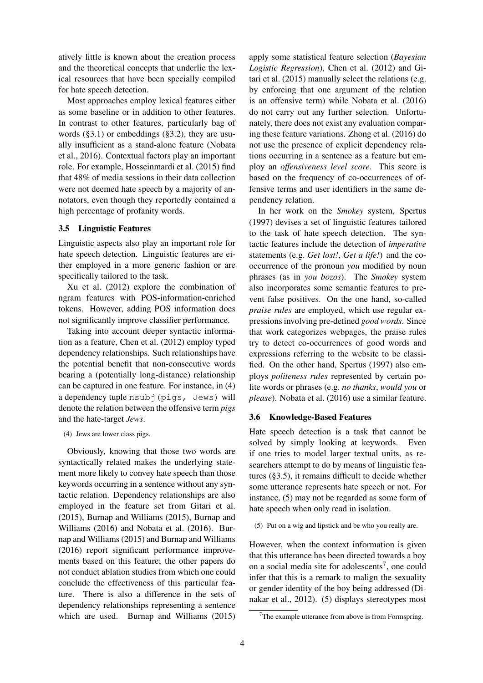atively little is known about the creation process and the theoretical concepts that underlie the lexical resources that have been specially compiled for hate speech detection.

Most approaches employ lexical features either as some baseline or in addition to other features. In contrast to other features, particularly bag of words (§3.1) or embeddings (§3.2), they are usually insufficient as a stand-alone feature (Nobata et al., 2016). Contextual factors play an important role. For example, Hosseinmardi et al. (2015) find that 48% of media sessions in their data collection were not deemed hate speech by a majority of annotators, even though they reportedly contained a high percentage of profanity words.

## 3.5 Linguistic Features

Linguistic aspects also play an important role for hate speech detection. Linguistic features are either employed in a more generic fashion or are specifically tailored to the task.

Xu et al. (2012) explore the combination of ngram features with POS-information-enriched tokens. However, adding POS information does not significantly improve classifier performance.

Taking into account deeper syntactic information as a feature, Chen et al. (2012) employ typed dependency relationships. Such relationships have the potential benefit that non-consecutive words bearing a (potentially long-distance) relationship can be captured in one feature. For instance, in (4) a dependency tuple nsubj(pigs, Jews) will denote the relation between the offensive term *pigs* and the hate-target *Jews*.

(4) Jews are lower class pigs.

Obviously, knowing that those two words are syntactically related makes the underlying statement more likely to convey hate speech than those keywords occurring in a sentence without any syntactic relation. Dependency relationships are also employed in the feature set from Gitari et al. (2015), Burnap and Williams (2015), Burnap and Williams (2016) and Nobata et al. (2016). Burnap and Williams (2015) and Burnap and Williams (2016) report significant performance improvements based on this feature; the other papers do not conduct ablation studies from which one could conclude the effectiveness of this particular feature. There is also a difference in the sets of dependency relationships representing a sentence which are used. Burnap and Williams (2015)

apply some statistical feature selection (*Bayesian Logistic Regression*), Chen et al. (2012) and Gitari et al. (2015) manually select the relations (e.g. by enforcing that one argument of the relation is an offensive term) while Nobata et al. (2016) do not carry out any further selection. Unfortunately, there does not exist any evaluation comparing these feature variations. Zhong et al. (2016) do not use the presence of explicit dependency relations occurring in a sentence as a feature but employ an *offensiveness level score*. This score is based on the frequency of co-occurrences of offensive terms and user identifiers in the same dependency relation.

In her work on the *Smokey* system, Spertus (1997) devises a set of linguistic features tailored to the task of hate speech detection. The syntactic features include the detection of *imperative* statements (e.g. *Get lost!*, *Get a life!*) and the cooccurrence of the pronoun *you* modified by noun phrases (as in *you bozos*). The *Smokey* system also incorporates some semantic features to prevent false positives. On the one hand, so-called *praise rules* are employed, which use regular expressions involving pre-defined *good words*. Since that work categorizes webpages, the praise rules try to detect co-occurrences of good words and expressions referring to the website to be classified. On the other hand, Spertus (1997) also employs *politeness rules* represented by certain polite words or phrases (e.g. *no thanks*, *would you* or *please*). Nobata et al. (2016) use a similar feature.

### 3.6 Knowledge-Based Features

Hate speech detection is a task that cannot be solved by simply looking at keywords. Even if one tries to model larger textual units, as researchers attempt to do by means of linguistic features (§3.5), it remains difficult to decide whether some utterance represents hate speech or not. For instance, (5) may not be regarded as some form of hate speech when only read in isolation.

(5) Put on a wig and lipstick and be who you really are.

However, when the context information is given that this utterance has been directed towards a boy on a social media site for adolescents<sup>7</sup>, one could infer that this is a remark to malign the sexuality or gender identity of the boy being addressed (Dinakar et al., 2012). (5) displays stereotypes most

 $7$ The example utterance from above is from Formspring.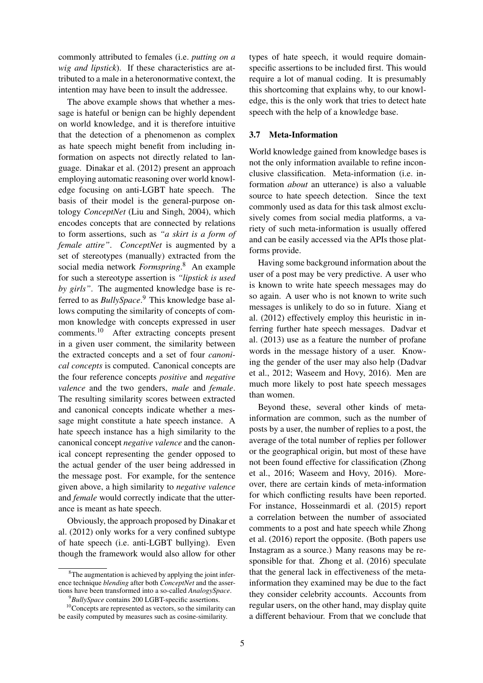commonly attributed to females (i.e. *putting on a wig and lipstick*). If these characteristics are attributed to a male in a heteronormative context, the intention may have been to insult the addressee.

The above example shows that whether a message is hateful or benign can be highly dependent on world knowledge, and it is therefore intuitive that the detection of a phenomenon as complex as hate speech might benefit from including information on aspects not directly related to language. Dinakar et al. (2012) present an approach employing automatic reasoning over world knowledge focusing on anti-LGBT hate speech. The basis of their model is the general-purpose ontology *ConceptNet* (Liu and Singh, 2004), which encodes concepts that are connected by relations to form assertions, such as *"a skirt is a form of female attire"*. *ConceptNet* is augmented by a set of stereotypes (manually) extracted from the social media network *Formspring*. <sup>8</sup> An example for such a stereotype assertion is *"lipstick is used by girls"*. The augmented knowledge base is referred to as *BullySpace*. <sup>9</sup> This knowledge base allows computing the similarity of concepts of common knowledge with concepts expressed in user comments.<sup>10</sup> After extracting concepts present in a given user comment, the similarity between the extracted concepts and a set of four *canonical concepts* is computed. Canonical concepts are the four reference concepts *positive* and *negative valence* and the two genders, *male* and *female*. The resulting similarity scores between extracted and canonical concepts indicate whether a message might constitute a hate speech instance. A hate speech instance has a high similarity to the canonical concept *negative valence* and the canonical concept representing the gender opposed to the actual gender of the user being addressed in the message post. For example, for the sentence given above, a high similarity to *negative valence* and *female* would correctly indicate that the utterance is meant as hate speech.

Obviously, the approach proposed by Dinakar et al. (2012) only works for a very confined subtype of hate speech (i.e. anti-LGBT bullying). Even though the framework would also allow for other types of hate speech, it would require domainspecific assertions to be included first. This would require a lot of manual coding. It is presumably this shortcoming that explains why, to our knowledge, this is the only work that tries to detect hate speech with the help of a knowledge base.

#### 3.7 Meta-Information

World knowledge gained from knowledge bases is not the only information available to refine inconclusive classification. Meta-information (i.e. information *about* an utterance) is also a valuable source to hate speech detection. Since the text commonly used as data for this task almost exclusively comes from social media platforms, a variety of such meta-information is usually offered and can be easily accessed via the APIs those platforms provide.

Having some background information about the user of a post may be very predictive. A user who is known to write hate speech messages may do so again. A user who is not known to write such messages is unlikely to do so in future. Xiang et al. (2012) effectively employ this heuristic in inferring further hate speech messages. Dadvar et al. (2013) use as a feature the number of profane words in the message history of a user. Knowing the gender of the user may also help (Dadvar et al., 2012; Waseem and Hovy, 2016). Men are much more likely to post hate speech messages than women.

Beyond these, several other kinds of metainformation are common, such as the number of posts by a user, the number of replies to a post, the average of the total number of replies per follower or the geographical origin, but most of these have not been found effective for classification (Zhong et al., 2016; Waseem and Hovy, 2016). Moreover, there are certain kinds of meta-information for which conflicting results have been reported. For instance, Hosseinmardi et al. (2015) report a correlation between the number of associated comments to a post and hate speech while Zhong et al. (2016) report the opposite. (Both papers use Instagram as a source.) Many reasons may be responsible for that. Zhong et al. (2016) speculate that the general lack in effectiveness of the metainformation they examined may be due to the fact they consider celebrity accounts. Accounts from regular users, on the other hand, may display quite a different behaviour. From that we conclude that

 ${}^{8}$ The augmentation is achieved by applying the joint inference technique *blending* after both *ConceptNet* and the assertions have been transformed into a so-called *AnalogySpace*.

<sup>9</sup>*BullySpace* contains 200 LGBT-specific assertions.

<sup>&</sup>lt;sup>10</sup>Concepts are represented as vectors, so the similarity can be easily computed by measures such as cosine-similarity.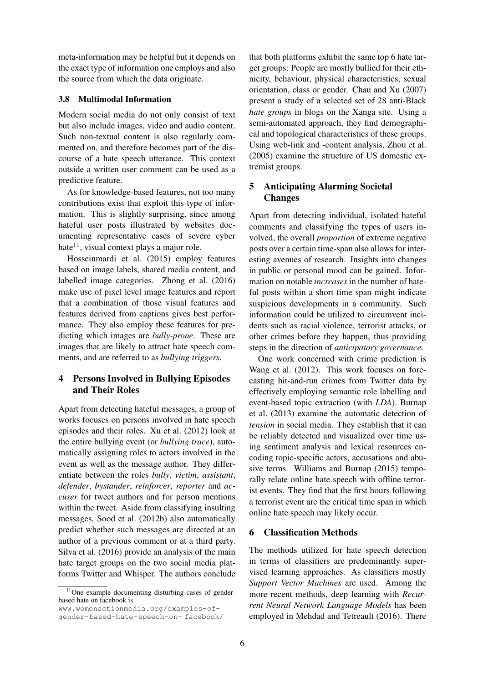meta-information may be helpful but it depends on the exact type of information one employs and also the source from which the data originate.

## 3.8 Multimodal Information

Modern social media do not only consist of text but also include images, video and audio content. Such non-textual content is also regularly commented on, and therefore becomes part of the discourse of a hate speech utterance. This context outside a written user comment can be used as a predictive feature.

As for knowledge-based features, not too many contributions exist that exploit this type of information. This is slightly surprising, since among hateful user posts illustrated by websites documenting representative cases of severe cyber hate $11$ , visual context plays a major role.

Hosseinmardi et al. (2015) employ features based on image labels, shared media content, and labelled image categories. Zhong et al. (2016) make use of pixel level image features and report that a combination of those visual features and features derived from captions gives best performance. They also employ these features for predicting which images are *bully-prone*. These are images that are likely to attract hate speech comments, and are referred to as *bullying triggers*.

## 4 Persons Involved in Bullying Episodes and Their Roles

Apart from detecting hateful messages, a group of works focuses on persons involved in hate speech episodes and their roles. Xu et al. (2012) look at the entire bullying event (or *bullying trace*), automatically assigning roles to actors involved in the event as well as the message author. They differentiate between the roles *bully*, *victim*, *assistant*, *defender*, *bystander*, *reinforcer*, *reporter* and *accuser* for tweet authors and for person mentions within the tweet. Aside from classifying insulting messages, Sood et al. (2012b) also automatically predict whether such messages are directed at an author of a previous comment or at a third party. Silva et al. (2016) provide an analysis of the main hate target groups on the two social media platforms Twitter and Whisper. The authors conclude that both platforms exhibit the same top 6 hate target groups: People are mostly bullied for their ethnicity, behaviour, physical characteristics, sexual orientation, class or gender. Chau and Xu (2007) present a study of a selected set of 28 anti-Black *hate groups* in blogs on the Xanga site. Using a semi-automated approach, they find demographical and topological characteristics of these groups. Using web-link and -content analysis, Zhou et al. (2005) examine the structure of US domestic extremist groups.

## 5 Anticipating Alarming Societal Changes

Apart from detecting individual, isolated hateful comments and classifying the types of users involved, the overall *proportion* of extreme negative posts over a certain time-span also allows for interesting avenues of research. Insights into changes in public or personal mood can be gained. Information on notable *increases* in the number of hateful posts within a short time span might indicate suspicious developments in a community. Such information could be utilized to circumvent incidents such as racial violence, terrorist attacks, or other crimes before they happen, thus providing steps in the direction of *anticipatory governance*.

One work concerned with crime prediction is Wang et al. (2012). This work focuses on forecasting hit-and-run crimes from Twitter data by effectively employing semantic role labelling and event-based topic extraction (with *LDA*). Burnap et al. (2013) examine the automatic detection of *tension* in social media. They establish that it can be reliably detected and visualized over time using sentiment analysis and lexical resources encoding topic-specific actors, accusations and abusive terms. Williams and Burnap (2015) temporally relate online hate speech with offline terrorist events. They find that the first hours following a terrorist event are the critical time span in which online hate speech may likely occur.

## 6 Classification Methods

The methods utilized for hate speech detection in terms of classifiers are predominantly supervised learning approaches. As classifiers mostly *Support Vector Machines* are used. Among the more recent methods, deep learning with *Recurrent Neural Network Language Models* has been employed in Mehdad and Tetreault (2016). There

 $11$ One example documenting disturbing cases of genderbased hate on facebook is

www.womenactionmedia.org/examples-ofgender-based-hate-speech-on- facebook/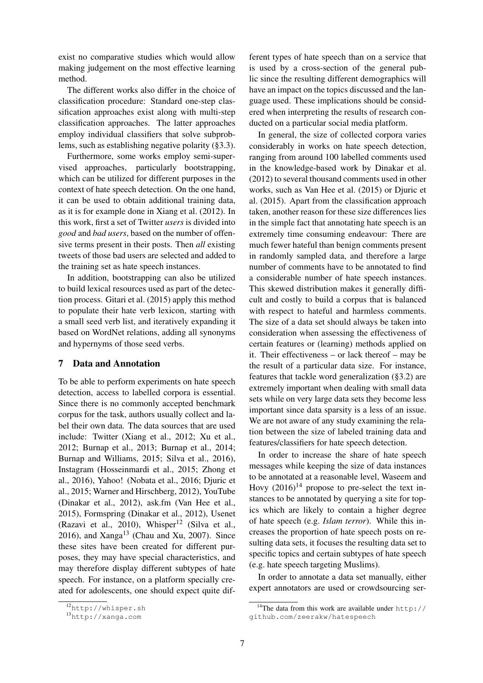exist no comparative studies which would allow making judgement on the most effective learning method.

The different works also differ in the choice of classification procedure: Standard one-step classification approaches exist along with multi-step classification approaches. The latter approaches employ individual classifiers that solve subproblems, such as establishing negative polarity (§3.3).

Furthermore, some works employ semi-supervised approaches, particularly bootstrapping, which can be utilized for different purposes in the context of hate speech detection. On the one hand, it can be used to obtain additional training data, as it is for example done in Xiang et al. (2012). In this work, first a set of Twitter *users* is divided into *good* and *bad users*, based on the number of offensive terms present in their posts. Then *all* existing tweets of those bad users are selected and added to the training set as hate speech instances.

In addition, bootstrapping can also be utilized to build lexical resources used as part of the detection process. Gitari et al. (2015) apply this method to populate their hate verb lexicon, starting with a small seed verb list, and iteratively expanding it based on WordNet relations, adding all synonyms and hypernyms of those seed verbs.

## 7 Data and Annotation

To be able to perform experiments on hate speech detection, access to labelled corpora is essential. Since there is no commonly accepted benchmark corpus for the task, authors usually collect and label their own data. The data sources that are used include: Twitter (Xiang et al., 2012; Xu et al., 2012; Burnap et al., 2013; Burnap et al., 2014; Burnap and Williams, 2015; Silva et al., 2016), Instagram (Hosseinmardi et al., 2015; Zhong et al., 2016), Yahoo! (Nobata et al., 2016; Djuric et al., 2015; Warner and Hirschberg, 2012), YouTube (Dinakar et al., 2012), ask.fm (Van Hee et al., 2015), Formspring (Dinakar et al., 2012), Usenet (Razavi et al., 2010), Whisper<sup>12</sup> (Silva et al., 2016), and Xanga<sup>13</sup> (Chau and Xu, 2007). Since these sites have been created for different purposes, they may have special characteristics, and may therefore display different subtypes of hate speech. For instance, on a platform specially created for adolescents, one should expect quite dif-

ferent types of hate speech than on a service that is used by a cross-section of the general public since the resulting different demographics will have an impact on the topics discussed and the language used. These implications should be considered when interpreting the results of research conducted on a particular social media platform.

In general, the size of collected corpora varies considerably in works on hate speech detection, ranging from around 100 labelled comments used in the knowledge-based work by Dinakar et al. (2012) to several thousand comments used in other works, such as Van Hee et al. (2015) or Djuric et al. (2015). Apart from the classification approach taken, another reason for these size differences lies in the simple fact that annotating hate speech is an extremely time consuming endeavour: There are much fewer hateful than benign comments present in randomly sampled data, and therefore a large number of comments have to be annotated to find a considerable number of hate speech instances. This skewed distribution makes it generally difficult and costly to build a corpus that is balanced with respect to hateful and harmless comments. The size of a data set should always be taken into consideration when assessing the effectiveness of certain features or (learning) methods applied on it. Their effectiveness – or lack thereof – may be the result of a particular data size. For instance, features that tackle word generalization (§3.2) are extremely important when dealing with small data sets while on very large data sets they become less important since data sparsity is a less of an issue. We are not aware of any study examining the relation between the size of labeled training data and features/classifiers for hate speech detection.

In order to increase the share of hate speech messages while keeping the size of data instances to be annotated at a reasonable level, Waseem and Hovy  $(2016)^{14}$  propose to pre-select the text instances to be annotated by querying a site for topics which are likely to contain a higher degree of hate speech (e.g. *Islam terror*). While this increases the proportion of hate speech posts on resulting data sets, it focuses the resulting data set to specific topics and certain subtypes of hate speech (e.g. hate speech targeting Muslims).

In order to annotate a data set manually, either expert annotators are used or crowdsourcing ser-

<sup>12</sup>http://whisper.sh

<sup>13</sup>http://xanga.com

<sup>&</sup>lt;sup>14</sup>The data from this work are available under http:// github.com/zeerakw/hatespeech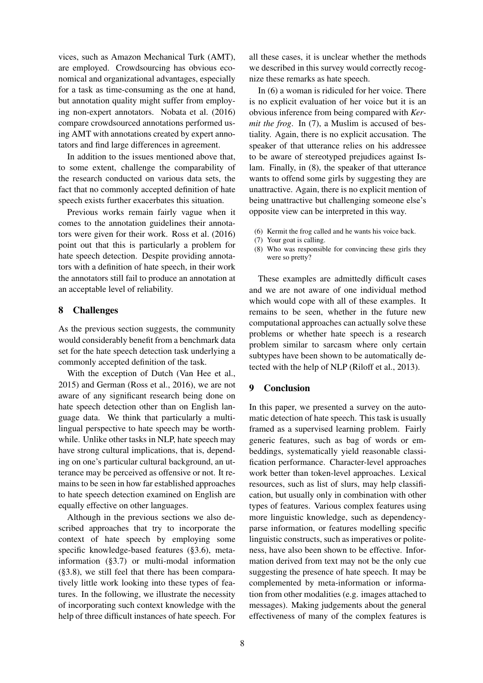vices, such as Amazon Mechanical Turk (AMT), are employed. Crowdsourcing has obvious economical and organizational advantages, especially for a task as time-consuming as the one at hand, but annotation quality might suffer from employing non-expert annotators. Nobata et al. (2016) compare crowdsourced annotations performed using AMT with annotations created by expert annotators and find large differences in agreement.

In addition to the issues mentioned above that, to some extent, challenge the comparability of the research conducted on various data sets, the fact that no commonly accepted definition of hate speech exists further exacerbates this situation.

Previous works remain fairly vague when it comes to the annotation guidelines their annotators were given for their work. Ross et al. (2016) point out that this is particularly a problem for hate speech detection. Despite providing annotators with a definition of hate speech, in their work the annotators still fail to produce an annotation at an acceptable level of reliability.

## 8 Challenges

As the previous section suggests, the community would considerably benefit from a benchmark data set for the hate speech detection task underlying a commonly accepted definition of the task.

With the exception of Dutch (Van Hee et al., 2015) and German (Ross et al., 2016), we are not aware of any significant research being done on hate speech detection other than on English language data. We think that particularly a multilingual perspective to hate speech may be worthwhile. Unlike other tasks in NLP, hate speech may have strong cultural implications, that is, depending on one's particular cultural background, an utterance may be perceived as offensive or not. It remains to be seen in how far established approaches to hate speech detection examined on English are equally effective on other languages.

Although in the previous sections we also described approaches that try to incorporate the context of hate speech by employing some specific knowledge-based features (§3.6), metainformation (§3.7) or multi-modal information (§3.8), we still feel that there has been comparatively little work looking into these types of features. In the following, we illustrate the necessity of incorporating such context knowledge with the help of three difficult instances of hate speech. For all these cases, it is unclear whether the methods we described in this survey would correctly recognize these remarks as hate speech.

In (6) a woman is ridiculed for her voice. There is no explicit evaluation of her voice but it is an obvious inference from being compared with *Kermit the frog*. In (7), a Muslim is accused of bestiality. Again, there is no explicit accusation. The speaker of that utterance relies on his addressee to be aware of stereotyped prejudices against Islam. Finally, in (8), the speaker of that utterance wants to offend some girls by suggesting they are unattractive. Again, there is no explicit mention of being unattractive but challenging someone else's opposite view can be interpreted in this way.

- (6) Kermit the frog called and he wants his voice back.
- (7) Your goat is calling.
- (8) Who was responsible for convincing these girls they were so pretty?

These examples are admittedly difficult cases and we are not aware of one individual method which would cope with all of these examples. It remains to be seen, whether in the future new computational approaches can actually solve these problems or whether hate speech is a research problem similar to sarcasm where only certain subtypes have been shown to be automatically detected with the help of NLP (Riloff et al., 2013).

## 9 Conclusion

In this paper, we presented a survey on the automatic detection of hate speech. This task is usually framed as a supervised learning problem. Fairly generic features, such as bag of words or embeddings, systematically yield reasonable classification performance. Character-level approaches work better than token-level approaches. Lexical resources, such as list of slurs, may help classification, but usually only in combination with other types of features. Various complex features using more linguistic knowledge, such as dependencyparse information, or features modelling specific linguistic constructs, such as imperatives or politeness, have also been shown to be effective. Information derived from text may not be the only cue suggesting the presence of hate speech. It may be complemented by meta-information or information from other modalities (e.g. images attached to messages). Making judgements about the general effectiveness of many of the complex features is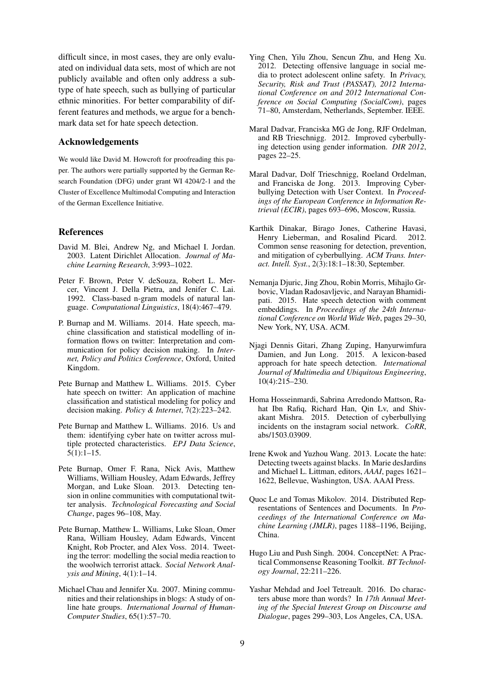difficult since, in most cases, they are only evaluated on individual data sets, most of which are not publicly available and often only address a subtype of hate speech, such as bullying of particular ethnic minorities. For better comparability of different features and methods, we argue for a benchmark data set for hate speech detection.

## Acknowledgements

We would like David M. Howcroft for proofreading this paper. The authors were partially supported by the German Research Foundation (DFG) under grant WI 4204/2-1 and the Cluster of Excellence Multimodal Computing and Interaction of the German Excellence Initiative.

## References

- David M. Blei, Andrew Ng, and Michael I. Jordan. 2003. Latent Dirichlet Allocation. *Journal of Machine Learning Research*, 3:993–1022.
- Peter F. Brown, Peter V. deSouza, Robert L. Mercer, Vincent J. Della Pietra, and Jenifer C. Lai. 1992. Class-based n-gram models of natural language. *Computational Linguistics*, 18(4):467–479.
- P. Burnap and M. Williams. 2014. Hate speech, machine classification and statistical modelling of information flows on twitter: Interpretation and communication for policy decision making. In *Internet, Policy and Politics Conference*, Oxford, United Kingdom.
- Pete Burnap and Matthew L. Williams. 2015. Cyber hate speech on twitter: An application of machine classification and statistical modeling for policy and decision making. *Policy & Internet*, 7(2):223–242.
- Pete Burnap and Matthew L. Williams. 2016. Us and them: identifying cyber hate on twitter across multiple protected characteristics. *EPJ Data Science*,  $5(1):1-15.$
- Pete Burnap, Omer F. Rana, Nick Avis, Matthew Williams, William Housley, Adam Edwards, Jeffrey Morgan, and Luke Sloan. 2013. Detecting tension in online communities with computational twitter analysis. *Technological Forecasting and Social Change*, pages 96–108, May.
- Pete Burnap, Matthew L. Williams, Luke Sloan, Omer Rana, William Housley, Adam Edwards, Vincent Knight, Rob Procter, and Alex Voss. 2014. Tweeting the terror: modelling the social media reaction to the woolwich terrorist attack. *Social Network Analysis and Mining*, 4(1):1–14.
- Michael Chau and Jennifer Xu. 2007. Mining communities and their relationships in blogs: A study of online hate groups. *International Journal of Human-Computer Studies*, 65(1):57–70.
- Ying Chen, Yilu Zhou, Sencun Zhu, and Heng Xu. 2012. Detecting offensive language in social media to protect adolescent online safety. In *Privacy, Security, Risk and Trust (PASSAT), 2012 International Conference on and 2012 International Conference on Social Computing (SocialCom)*, pages 71–80, Amsterdam, Netherlands, September. IEEE.
- Maral Dadvar, Franciska MG de Jong, RJF Ordelman, and RB Trieschnigg. 2012. Improved cyberbullying detection using gender information. *DIR 2012*, pages 22–25.
- Maral Dadvar, Dolf Trieschnigg, Roeland Ordelman, and Franciska de Jong. 2013. Improving Cyberbullying Detection with User Context. In *Proceedings of the European Conference in Information Retrieval (ECIR)*, pages 693–696, Moscow, Russia.
- Karthik Dinakar, Birago Jones, Catherine Havasi, Henry Lieberman, and Rosalind Picard. 2012. Common sense reasoning for detection, prevention, and mitigation of cyberbullying. *ACM Trans. Interact. Intell. Syst.*, 2(3):18:1–18:30, September.
- Nemanja Djuric, Jing Zhou, Robin Morris, Mihajlo Grbovic, Vladan Radosavljevic, and Narayan Bhamidipati. 2015. Hate speech detection with comment embeddings. In *Proceedings of the 24th International Conference on World Wide Web*, pages 29–30, New York, NY, USA. ACM.
- Njagi Dennis Gitari, Zhang Zuping, Hanyurwimfura Damien, and Jun Long. 2015. A lexicon-based approach for hate speech detection. *International Journal of Multimedia and Ubiquitous Engineering*, 10(4):215–230.
- Homa Hosseinmardi, Sabrina Arredondo Mattson, Rahat Ibn Rafiq, Richard Han, Qin Lv, and Shivakant Mishra. 2015. Detection of cyberbullying incidents on the instagram social network. *CoRR*, abs/1503.03909.
- Irene Kwok and Yuzhou Wang. 2013. Locate the hate: Detecting tweets against blacks. In Marie desJardins and Michael L. Littman, editors, *AAAI*, pages 1621– 1622, Bellevue, Washington, USA. AAAI Press.
- Quoc Le and Tomas Mikolov. 2014. Distributed Representations of Sentences and Documents. In *Proceedings of the International Conference on Machine Learning (JMLR)*, pages 1188–1196, Beijing, China.
- Hugo Liu and Push Singh. 2004. ConceptNet: A Practical Commonsense Reasoning Toolkit. *BT Technology Journal*, 22:211–226.
- Yashar Mehdad and Joel Tetreault. 2016. Do characters abuse more than words? In *17th Annual Meeting of the Special Interest Group on Discourse and Dialogue*, pages 299–303, Los Angeles, CA, USA.